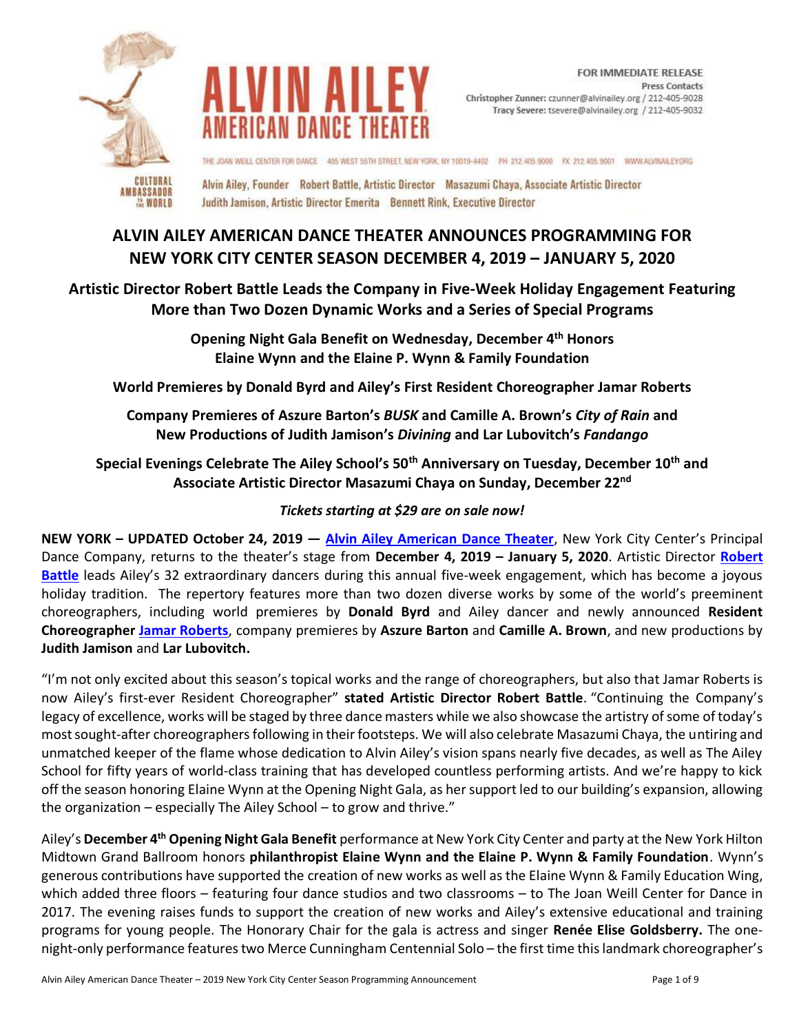



THE JOAN WEILL CENTER FOR DANCE 405 WEST 55TH STREET, NEW YORK, NY 10019-4402 PH 212.405,9000 FX 212.405.9001 WWW.ALVINAILEY.ORG

Alvin Ailey, Founder Robert Battle, Artistic Director Masazumi Chaya, Associate Artistic Director Judith Jamison, Artistic Director Emerita Bennett Rink, Executive Director

# **ALVIN AILEY AMERICAN DANCE THEATER ANNOUNCES PROGRAMMING FOR NEW YORK CITY CENTER SEASON DECEMBER 4, 2019 – JANUARY 5, 2020**

# **Artistic Director Robert Battle Leads the Company in Five-Week Holiday Engagement Featuring More than Two Dozen Dynamic Works and a Series of Special Programs**

**Opening Night Gala Benefit on Wednesday, December 4th Honors Elaine Wynn and the Elaine P. Wynn & Family Foundation**

**World Premieres by Donald Byrd and Ailey's First Resident Choreographer Jamar Roberts** 

**Company Premieres of Aszure Barton's** *BUSK* **and Camille A. Brown's** *City of Rain* **and New Productions of Judith Jamison's** *Divining* **and Lar Lubovitch's** *Fandango*

**Special Evenings Celebrate The Ailey School's 50th Anniversary on Tuesday, December 10th and Associate Artistic Director Masazumi Chaya on Sunday, December 22nd**

# *Tickets starting at \$29 are on sale now!*

**NEW YORK – UPDATED October 24, 2019 — [Alvin Ailey American Dance Theater](http://pressroom.alvinailey.org/alvin-ailey-american-dance-theater/)**, New York City Center's Principal Dance Company, returns to the theater's stage from **December 4, 2019 – January 5, 2020**. Artistic Director **[Robert](http://pressroom.alvinailey.org/pr/ailey/category-page.aspx?ncid=22686)  [Battle](http://pressroom.alvinailey.org/pr/ailey/category-page.aspx?ncid=22686)** leads Ailey's 32 extraordinary dancers during this annual five-week engagement, which has become a joyous holiday tradition. The repertory features more than two dozen diverse works by some of the world's preeminent choreographers, including world premieres by **Donald Byrd** and Ailey dancer and newly announced **Resident Choreographer [Jamar Roberts](http://pressroom.alvinailey.org/alvin-ailey-american-dance-theater/dancers/jamar-roberts)**, company premieres by **Aszure Barton** and **Camille A. Brown**, and new productions by **Judith Jamison** and **Lar Lubovitch.**

"I'm not only excited about this season's topical works and the range of choreographers, but also that Jamar Roberts is now Ailey's first-ever Resident Choreographer" **stated Artistic Director Robert Battle**. "Continuing the Company's legacy of excellence, works will be staged by three dance masters while we also showcase the artistry of some of today's most sought-after choreographers following in their footsteps. We will also celebrate Masazumi Chaya, the untiring and unmatched keeper of the flame whose dedication to Alvin Ailey's vision spans nearly five decades, as well as The Ailey School for fifty years of world-class training that has developed countless performing artists. And we're happy to kick off the season honoring Elaine Wynn at the Opening Night Gala, as her support led to our building's expansion, allowing the organization – especially The Ailey School – to grow and thrive."

Ailey's **December 4th Opening Night Gala Benefit** performance at New York City Center and party at the New York Hilton Midtown Grand Ballroom honors **philanthropist Elaine Wynn and the Elaine P. Wynn & Family Foundation**. Wynn's generous contributions have supported the creation of new works as well as the Elaine Wynn & Family Education Wing, which added three floors – featuring four dance studios and two classrooms – to The Joan Weill Center for Dance in 2017. The evening raises funds to support the creation of new works and Ailey's extensive educational and training programs for young people. The Honorary Chair for the gala is actress and singer **Renée Elise Goldsberry.** The onenight-only performance features two Merce Cunningham Centennial Solo – the first time this landmark choreographer's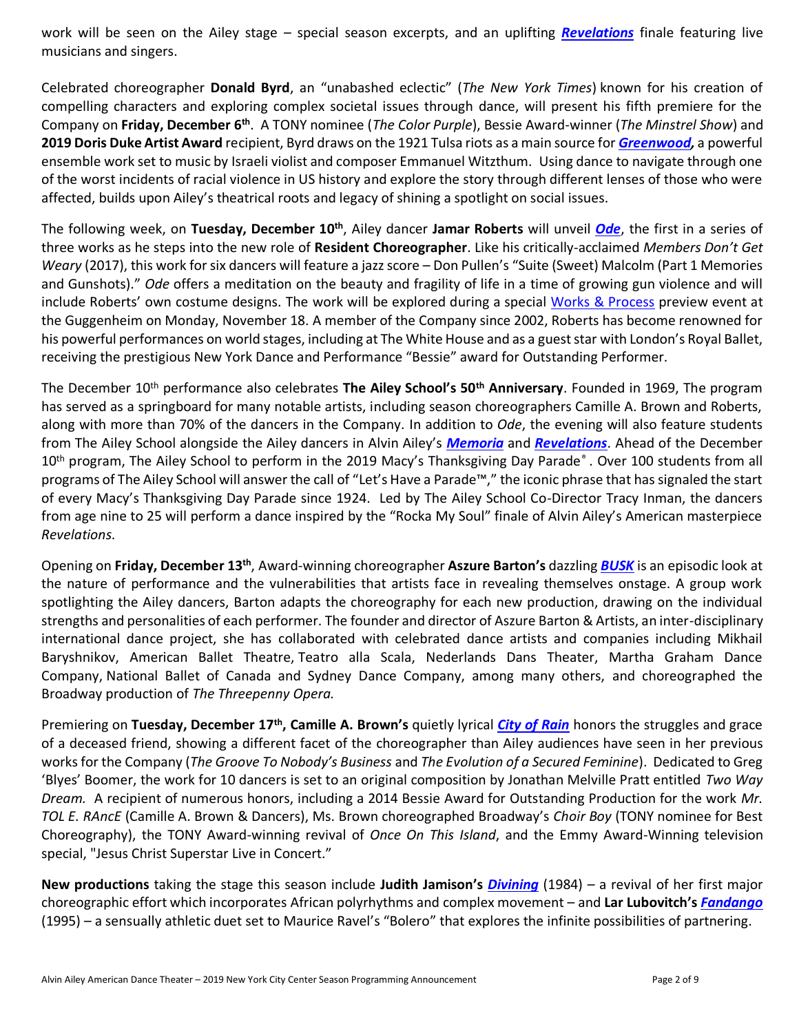work will be seen on the Ailey stage – special season excerpts, and an uplifting *[Revelations](http://pressroom.alvinailey.org/alvin-ailey-american-dance-theater/repertory/revelations)* finale featuring live musicians and singers.

Celebrated choreographer **Donald Byrd**, an "unabashed eclectic" (*The New York Times*) known for his creation of compelling characters and exploring complex societal issues through dance, will present his fifth premiere for the Company on **Friday, December 6th** . A TONY nominee (*The Color Purple*), Bessie Award-winner (*The Minstrel Show*) and **2019 Doris Duke Artist Award** recipient, Byrd draws on the 1921 Tulsa riots as a main source for *[Greenwood,](http://pressroom.alvinailey.org/alvin-ailey-american-dance-theater/repertory/greenwood)* a powerful ensemble work set to music by Israeli violist and composer Emmanuel Witzthum. Using dance to navigate through one of the worst incidents of racial violence in US history and explore the story through different lenses of those who were affected, builds upon Ailey's theatrical roots and legacy of shining a spotlight on social issues.

The following week, on **Tuesday, December 10th**, Ailey dancer **Jamar Roberts** will unveil *[Ode](http://pressroom.alvinailey.org/alvin-ailey-american-dance-theater/repertory/ode)*, the first in a series of three works as he steps into the new role of **Resident Choreographer**. Like his critically-acclaimed *Members Don't Get Weary* (2017), this work for six dancers will feature a jazz score – Don Pullen's "Suite (Sweet) Malcolm (Part 1 Memories and Gunshots)." *Ode* offers a meditation on the beauty and fragility of life in a time of growing gun violence and will include Roberts' own costume designs. The work will be explored during a special [Works & Process](https://www.guggenheim.org/event/alvin-ailey-american-dance-theater-new-work) preview event at the Guggenheim on Monday, November 18. A member of the Company since 2002, Roberts has become renowned for his powerful performances on world stages, including at The White House and as a guest star with London's Royal Ballet, receiving the prestigious New York Dance and Performance "Bessie" award for Outstanding Performer.

The December 10th performance also celebrates **The Ailey School's 50th Anniversary**. Founded in 1969, The program has served as a springboard for many notable artists, including season choreographers Camille A. Brown and Roberts, along with more than 70% of the dancers in the Company. In addition to *Ode*, the evening will also feature students from The Ailey School alongside the Ailey dancers in Alvin Ailey's *[Memoria](http://pressroom.alvinailey.org/alvin-ailey-american-dance-theater/repertory/memoria-6632563)* and *[Revelations](http://pressroom.alvinailey.org/alvin-ailey-american-dance-theater/repertory/revelations)*. Ahead of the December 10<sup>th</sup> program, The Ailey School to perform in the 2019 Macy's Thanksgiving Day Parade®. Over 100 students from all programs of The Ailey School will answer the call of "Let's Have a Parade™," the iconic phrase that has signaled the start of every Macy's Thanksgiving Day Parade since 1924. Led by The Ailey School Co-Director Tracy Inman, the dancers from age nine to 25 will perform a dance inspired by the "Rocka My Soul" finale of Alvin Ailey's American masterpiece *Revelations*.

Opening on **Friday, December 13th**, Award-winning choreographer **Aszure Barton's** dazzling *[BUSK](http://pressroom.alvinailey.org/alvin-ailey-american-dance-theater/repertory/busk)* is an episodic look at the nature of performance and the vulnerabilities that artists face in revealing themselves onstage. A group work spotlighting the Ailey dancers, Barton adapts the choreography for each new production, drawing on the individual strengths and personalities of each performer. The founder and director of Aszure Barton & Artists, an inter-disciplinary international dance project, she has collaborated with celebrated dance artists and companies including Mikhail Baryshnikov, American Ballet Theatre, Teatro alla Scala, Nederlands Dans Theater, Martha Graham Dance Company, National Ballet of Canada and Sydney Dance Company, among many others, and choreographed the Broadway production of *The Threepenny Opera.*

Premiering on Tuesday, December 17<sup>th</sup>, Camille A. Brown's quietly lyrical *[City of Rain](http://pressroom.alvinailey.org/alvin-ailey-american-dance-theater/repertory/city-of-rain)* honors the struggles and grace of a deceased friend, showing a different facet of the choreographer than Ailey audiences have seen in her previous works for the Company (*The Groove To Nobody's Business* and *The Evolution of a Secured Feminine*). Dedicated to Greg 'Blyes' Boomer, the work for 10 dancers is set to an original composition by Jonathan Melville Pratt entitled *Two Way Dream.* A recipient of numerous honors, including a 2014 Bessie Award for Outstanding Production for the work *Mr. TOL E. RAncE* (Camille A. Brown & Dancers), Ms. Brown choreographed Broadway's *Choir Boy* (TONY nominee for Best Choreography), the TONY Award-winning revival of *Once On This Island*, and the Emmy Award-Winning television special, "Jesus Christ Superstar Live in Concert."

**New productions** taking the stage this season include **Judith Jamison's** *[Divining](http://pressroom.alvinailey.org/alvin-ailey-american-dance-theater/repertory/divining)* (1984) *–* a revival of her first major choreographic effort which incorporates African polyrhythms and complex movement – and **Lar Lubovitch's** *[Fandango](http://pressroom.alvinailey.org/alvin-ailey-american-dance-theater/repertory/fandango)* (1995) – a sensually athletic duet set to Maurice Ravel's "Bolero" that explores the infinite possibilities of partnering.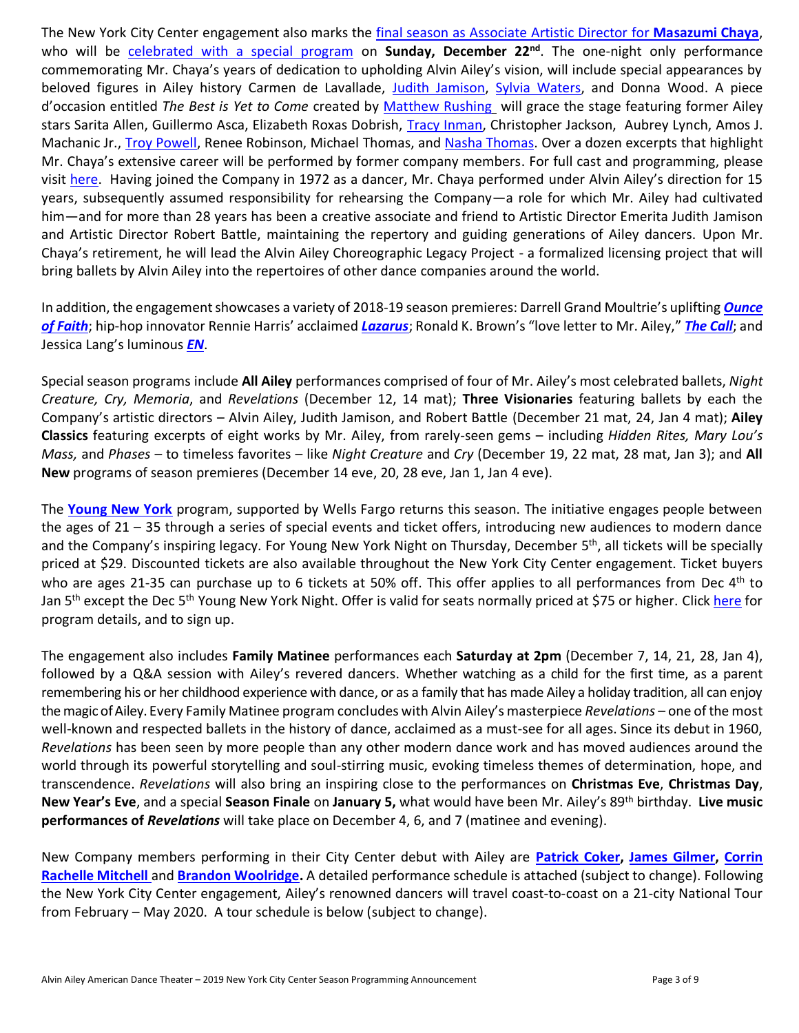The New York City Center engagement also marks the final season as [Associate Artistic Director](http://pressroom.alvinailey.org/internal_redirect/cms.ipressroom.com.s3.amazonaws.com/292/files/20196/AileysMasazumiChayaAnnouncesAssocArtDirRetirementnewroll_FINAL.pdf) for **Masazumi Chaya**, who will be [celebrated with a special program](http://pressroom.alvinailey.org/internal_redirect/cms.ipressroom.com.s3.amazonaws.com/292/files/201910/Ailey%27sMasazumiChayaSpecialPerformanceProgramming_Final1.pdf) on **Sunday, December 22nd** . The one-night only performance commemorating Mr. Chaya's years of dedication to upholding Alvin Ailey's vision, will include special appearances by beloved figures in Ailey history Carmen de Lavallade, [Judith Jamison,](http://pressroom.alvinailey.org/alvin-ailey-american-dance-theater/directors/judith-jamison) [Sylvia Waters,](http://pressroom.alvinailey.org/ailey-ii/artistic-direction/sylvia-waters) and Donna Wood. A piece d'occasion entitled *The Best is Yet to Come* created by [Matthew Rushing](http://pressroom.alvinailey.org/alvin-ailey-american-dance-theater/directors/matthew-rushing) will grace the stage featuring former Ailey stars Sarita Allen, Guillermo Asca, Elizabeth Roxas Dobrish, [Tracy Inman,](http://pressroom.alvinailey.org/the-ailey-school/directors/tracy-inman) Christopher Jackson, Aubrey Lynch, Amos J. Machanic Jr., [Troy Powell,](http://pressroom.alvinailey.org/ailey-ii/artistic-direction/troy-powell) Renee Robinson, Michael Thomas, an[d Nasha Thomas.](http://pressroom.alvinailey.org/arts-in-education/directors/nasha-thomas) Over a dozen excerpts that highlight Mr. Chaya's extensive career will be performed by former company members. For full cast and programming, please visit [here.](https://www.alvinailey.org/performances/repertory/122219-eve-new-york-city-center) Having joined the Company in 1972 as a dancer, Mr. Chaya performed under Alvin Ailey's direction for 15 years, subsequently assumed responsibility for rehearsing the Company—a role for which Mr. Ailey had cultivated him—and for more than 28 years has been a creative associate and friend to Artistic Director Emerita Judith Jamison and Artistic Director Robert Battle, maintaining the repertory and guiding generations of Ailey dancers. Upon Mr. Chaya's retirement, he will lead the Alvin Ailey Choreographic Legacy Project - a formalized licensing project that will bring ballets by Alvin Ailey into the repertoires of other dance companies around the world.

In addition, the engagement showcases a variety of 2018-19 season premieres: Darrell Grand Moultrie's uplifting *[Ounce](http://pressroom.alvinailey.org/alvin-ailey-american-dance-theater/repertory/ounce-of-faith)  [of Faith](http://pressroom.alvinailey.org/alvin-ailey-american-dance-theater/repertory/ounce-of-faith)*; hip-hop innovator Rennie Harris' acclaimed *[Lazarus](http://pressroom.alvinailey.org/alvin-ailey-american-dance-theater/repertory/lazarus)*; Ronald K. Brown's "love letter to Mr. Ailey," *[The Call](http://pressroom.alvinailey.org/alvin-ailey-american-dance-theater/repertory/the-call)*; and Jessica Lang's luminous *[EN](http://pressroom.alvinailey.org/alvin-ailey-american-dance-theater/repertory/en-6690536)*.

Special season programs include **All Ailey** performances comprised of four of Mr. Ailey's most celebrated ballets, *Night Creature, Cry, Memoria*, and *Revelations* (December 12, 14 mat); **Three Visionaries** featuring ballets by each the Company's artistic directors – Alvin Ailey, Judith Jamison, and Robert Battle (December 21 mat, 24, Jan 4 mat); **Ailey Classics** featuring excerpts of eight works by Mr. Ailey, from rarely-seen gems – including *Hidden Rites, Mary Lou's Mass,* and *Phases* – to timeless favorites – like *Night Creature* and *Cry* (December 19, 22 mat, 28 mat, Jan 3); and **All New** programs of season premieres (December 14 eve, 20, 28 eve, Jan 1, Jan 4 eve).

The **[Young New York](https://www.alvinailey.org/engagement/new-york-city-center/young-new-york)** program, supported by Wells Fargo returns this season. The initiative engages people between the ages of 21 – 35 through a series of special events and ticket offers, introducing new audiences to modern dance and the Company's inspiring legacy. For Young New York Night on Thursday, December 5<sup>th</sup>, all tickets will be specially priced at \$29. Discounted tickets are also available throughout the New York City Center engagement. Ticket buyers who are ages 21-35 can purchase up to 6 tickets at 50% off. This offer applies to all performances from Dec 4<sup>th</sup> to Jan 5<sup>th</sup> except the Dec 5<sup>th</sup> Young New York Night. Offer is valid for seats normally priced at \$75 or higher. Click [here](https://www.alvinailey.org/engagement/new-york-city-center/young-new-york) for program details, and to sign up.

The engagement also includes **Family Matinee** performances each **Saturday at 2pm** (December 7, 14, 21, 28, Jan 4), followed by a Q&A session with Ailey's revered dancers. Whether watching as a child for the first time, as a parent remembering his or her childhood experience with dance, or as a family that has made Ailey a holiday tradition, all can enjoy the magic of Ailey. Every Family Matinee program concludes with Alvin Ailey's masterpiece *Revelations* – one of the most well-known and respected ballets in the history of dance, acclaimed as a must-see for all ages. Since its debut in 1960, *Revelations* has been seen by more people than any other modern dance work and has moved audiences around the world through its powerful storytelling and soul-stirring music, evoking timeless themes of determination, hope, and transcendence. *Revelations* will also bring an inspiring close to the performances on **Christmas Eve**, **Christmas Day**, **New Year's Eve**, and a special **Season Finale** on **January 5,** what would have been Mr. Ailey's 89th birthday. **Live music performances of** *Revelations* will take place on December 4, 6, and 7 (matinee and evening).

New Company members performing in their City Center debut with Ailey are **[Patrick Coker,](http://pressroom.alvinailey.org/alvin-ailey-american-dance-theater/dancers/patrick-coker) [James Gilmer,](http://pressroom.alvinailey.org/alvin-ailey-american-dance-theater/dancers/james-gilmer) [Corrin](http://pressroom.alvinailey.org/alvin-ailey-american-dance-theater/dancers/corrin-rachelle-mitchell)  [Rachelle Mitchell](http://pressroom.alvinailey.org/alvin-ailey-american-dance-theater/dancers/corrin-rachelle-mitchell)** and **[Brandon Woolridge.](http://pressroom.alvinailey.org/alvin-ailey-american-dance-theater/dancers/brandon-woolridge)** A detailed performance schedule is attached (subject to change). Following the New York City Center engagement, Ailey's renowned dancers will travel coast-to-coast on a 21-city National Tour from February – May 2020. A tour schedule is below (subject to change).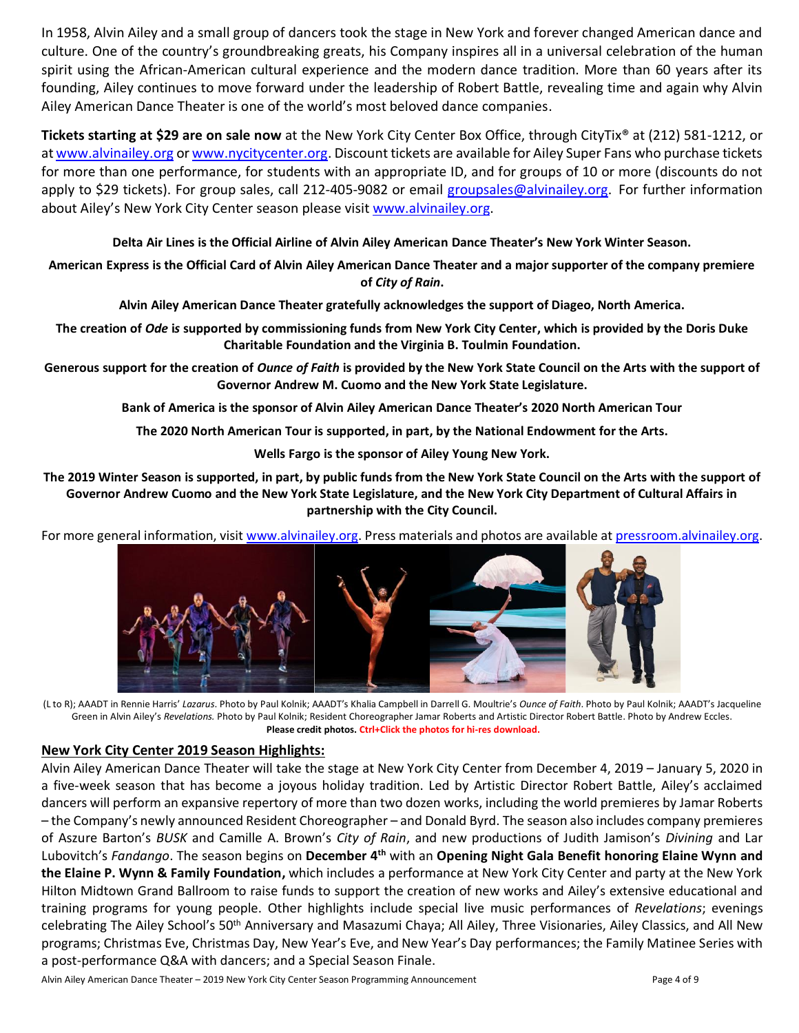In 1958, Alvin Ailey and a small group of dancers took the stage in New York and forever changed American dance and culture. One of the country's groundbreaking greats, his Company inspires all in a universal celebration of the human spirit using the African-American cultural experience and the modern dance tradition. More than 60 years after its founding, Ailey continues to move forward under the leadership of Robert Battle, revealing time and again why Alvin Ailey American Dance Theater is one of the world's most beloved dance companies.

**Tickets starting at \$29 are on sale now** at the New York City Center Box Office, through CityTix® at (212) 581-1212, or a[t www.alvinailey.org](http://www.alvinailey.org/) o[r www.nycitycenter.org.](http://www.nycitycenter.org/) Discount tickets are available for Ailey Super Fans who purchase tickets for more than one performance, for students with an appropriate ID, and for groups of 10 or more (discounts do not apply to \$29 tickets). For group sales, call 212-405-9082 or email [groupsales@alvinailey.org.](mailto:groupsales@alvinailey.org) For further information about Ailey's New York City Center season please visi[t www.alvinailey.org.](http://www.alvinailey.org/)

**Delta Air Lines is the Official Airline of Alvin Ailey American Dance Theater's New York Winter Season.**

**American Express is the Official Card of Alvin Ailey American Dance Theater and a major supporter of the company premiere of** *City of Rain***.**

**Alvin Ailey American Dance Theater gratefully acknowledges the support of Diageo, North America.**

**The creation of** *Ode* **i***s* **supported by commissioning funds from New York City Center, which is provided by the Doris Duke Charitable Foundation and the Virginia B. Toulmin Foundation.**

**Generous support for the creation of** *Ounce of Faith* **is provided by the New York State Council on the Arts with the support of Governor Andrew M. Cuomo and the New York State Legislature.**

**Bank of America is the sponsor of Alvin Ailey American Dance Theater's 2020 North American Tour**

**The 2020 North American Tour is supported, in part, by the National Endowment for the Arts.**

**Wells Fargo is the sponsor of Ailey Young New York.**

**The 2019 Winter Season is supported, in part, by public funds from the New York State Council on the Arts with the support of Governor Andrew Cuomo and the New York State Legislature, and the New York City Department of Cultural Affairs in partnership with the City Council.**

For more ge[neral information, visit](http://pressroom.alvinailey.org/file/alvin-ailey-american-dance-theater-in-rennie-harris-lazarus-1799?action=) [www.alvinailey.org.](http://www.alvinailey.org/) [Press mate](http://pressroom.alvinailey.org/file/aaadts-khalia-campbell-in-darrell-grand-moultries-ounce-of-faith-photo-by-paul-kolnik?action=)[rials and photos are avai](http://pressroom.alvinailey.org/file/jacqueline-green-in-alvin-ailey-s-revelations?action=)lable at [pressroom.alvinailey.org.](http://pressroom.alvinailey.org/internal_redirect/cms.ipressroom.com.s3.amazonaws.com/87/files/20155/MyStoryMyDanceBattleChildren%27sBookbySimon%26Schuster061115.pdf)



(L to R); AAADT in Rennie Harris' *Lazarus*. Photo by Paul Kolnik; AAADT's Khalia Campbell in Darrell G. Moultrie's *Ounce of Faith*. Photo by Paul Kolnik; AAADT's Jacqueline Green in Alvin Ailey's *Revelations.* Photo by Paul Kolnik; Resident Choreographer Jamar Roberts and Artistic Director Robert Battle. Photo by Andrew Eccles. **Please credit photos. Ctrl+Click the photos for hi-res download.**

### **New York City Center 2019 Season Highlights:**

Alvin Ailey American Dance Theater will take the stage at New York City Center from December 4, 2019 – January 5, 2020 in a five-week season that has become a joyous holiday tradition. Led by Artistic Director Robert Battle, Ailey's acclaimed dancers will perform an expansive repertory of more than two dozen works, including the world premieres by Jamar Roberts – the Company's newly announced Resident Choreographer – and Donald Byrd. The season also includes company premieres of Aszure Barton's *BUSK* and Camille A. Brown's *City of Rain*, and new productions of Judith Jamison's *Divining* and Lar Lubovitch's *Fandango*. The season begins on **December 4th** with an **Opening Night Gala Benefit honoring Elaine Wynn and the Elaine P. Wynn & Family Foundation,** which includes a performance at New York City Center and party at the New York Hilton Midtown Grand Ballroom to raise funds to support the creation of new works and Ailey's extensive educational and training programs for young people. Other highlights include special live music performances of *Revelations*; evenings celebrating The Ailey School's 50<sup>th</sup> Anniversary and Masazumi Chaya; All Ailey, Three Visionaries, Ailey Classics, and All New programs; Christmas Eve, Christmas Day, New Year's Eve, and New Year's Day performances; the Family Matinee Series with a post-performance Q&A with dancers; and a Special Season Finale.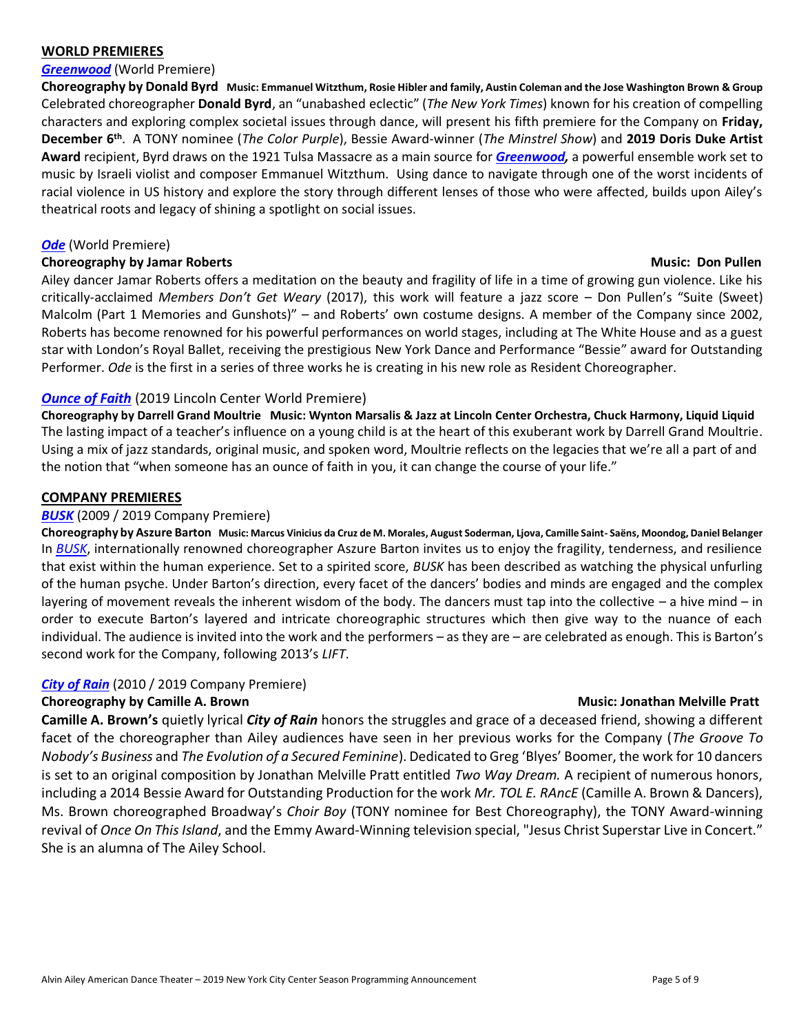#### **WORLD PREMIERES**

#### *[Greenwood](http://pressroom.alvinailey.org/alvin-ailey-american-dance-theater/repertory/greenwood)* (World Premiere)

**Choreography by Donald Byrd Music: Emmanuel Witzthum, Rosie Hibler and family, Austin Coleman and the Jose Washington Brown & Group** Celebrated choreographer **Donald Byrd**, an "unabashed eclectic" (*The New York Times*) known for his creation of compelling characters and exploring complex societal issues through dance, will present his fifth premiere for the Company on **Friday, December 6th** . A TONY nominee (*The Color Purple*), Bessie Award-winner (*The Minstrel Show*) and **2019 Doris Duke Artist Award** recipient, Byrd draws on the 1921 Tulsa Massacre as a main source for *[Greenwood,](http://pressroom.alvinailey.org/alvin-ailey-american-dance-theater/repertory/greenwood)* a powerful ensemble work set to music by Israeli violist and composer Emmanuel Witzthum. Using dance to navigate through one of the worst incidents of racial violence in US history and explore the story through different lenses of those who were affected, builds upon Ailey's theatrical roots and legacy of shining a spotlight on social issues.

#### *[Ode](http://pressroom.alvinailey.org/alvin-ailey-american-dance-theater/repertory/ode)* (World Premiere)

#### **Choreography by Jamar Roberts Choreography by Jamar Roberts Choreography by Jamar Roberts Choreography and Duman Roberts Choreography and Duman Roberts Choreography and Duman Roberts Choreography and Duman Roberts Choreog**

Ailey dancer Jamar Roberts offers a meditation on the beauty and fragility of life in a time of growing gun violence. Like his critically-acclaimed *Members Don't Get Weary* (2017), this work will feature a jazz score – Don Pullen's "Suite (Sweet) Malcolm (Part 1 Memories and Gunshots)" – and Roberts' own costume designs. A member of the Company since 2002, Roberts has become renowned for his powerful performances on world stages, including at The White House and as a guest star with London's Royal Ballet, receiving the prestigious New York Dance and Performance "Bessie" award for Outstanding Performer. *Ode* is the first in a series of three works he is creating in his new role as Resident Choreographer.

### *[Ounce of Faith](http://pressroom.alvinailey.org/alvin-ailey-american-dance-theater/repertory/ounce-of-faith)* (2019 Lincoln Center World Premiere)

**Choreography by Darrell Grand Moultrie Music: Wynton Marsalis & Jazz at Lincoln Center Orchestra, Chuck Harmony, Liquid Liquid** The lasting impact of a teacher's influence on a young child is at the heart of this exuberant work by Darrell Grand Moultrie. Using a mix of jazz standards, original music, and spoken word, Moultrie reflects on the legacies that we're all a part of and the notion that "when someone has an ounce of faith in you, it can change the course of your life."

#### **COMPANY PREMIERES**

#### *[BUSK](http://pressroom.alvinailey.org/alvin-ailey-american-dance-theater/repertory/busk)* (2009 / 2019 Company Premiere)

**Choreography by Aszure Barton Music: Marcus Vinicius da Cruz de M. Morales, August Soderman, Ljova, Camille Saint- Saëns, Moondog, Daniel Belanger** In *[BUSK](http://pressroom.alvinailey.org/alvin-ailey-american-dance-theater/repertory/busk)*, internationally renowned choreographer Aszure Barton invites us to enjoy the fragility, tenderness, and resilience that exist within the human experience. Set to a spirited score, *BUSK* has been described as watching the physical unfurling of the human psyche. Under Barton's direction, every facet of the dancers' bodies and minds are engaged and the complex layering of movement reveals the inherent wisdom of the body. The dancers must tap into the collective – a hive mind – in order to execute Barton's layered and intricate choreographic structures which then give way to the nuance of each individual. The audience is invited into the work and the performers – as they are – are celebrated as enough. This is Barton's second work for the Company, following 2013's *LIFT*.

### *[City of Rain](http://pressroom.alvinailey.org/alvin-ailey-american-dance-theater/repertory/city-of-rain)* (2010 / 2019 Company Premiere)

#### **Choreography by Camille A. Brown Music: Jonathan Music: Jonathan Melville Pratt**

**Camille A. Brown's** quietly lyrical *City of Rain* honors the struggles and grace of a deceased friend, showing a different facet of the choreographer than Ailey audiences have seen in her previous works for the Company (*The Groove To Nobody's Business* and *The Evolution of a Secured Feminine*). Dedicated to Greg 'Blyes' Boomer, the work for 10 dancers is set to an original composition by Jonathan Melville Pratt entitled *Two Way Dream.* A recipient of numerous honors, including a 2014 Bessie Award for Outstanding Production for the work *Mr. TOL E. RAncE* (Camille A. Brown & Dancers), Ms. Brown choreographed Broadway's *Choir Boy* (TONY nominee for Best Choreography), the TONY Award-winning revival of *Once On This Island*, and the Emmy Award-Winning television special, "Jesus Christ Superstar Live in Concert." She is an alumna of The Ailey School.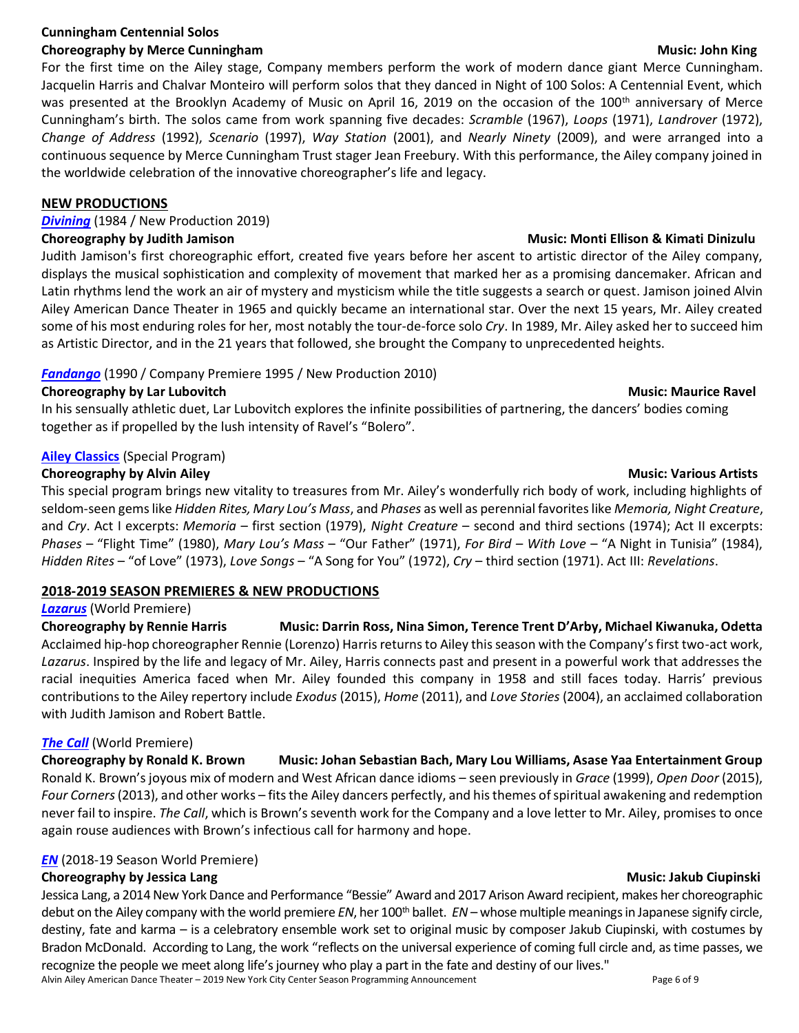## **Cunningham Centennial Solos**

## **Choreography by Merce Cunningham Music: John King Choreography by Music: John King Choreography by Music: John King**

For the first time on the Ailey stage, Company members perform the work of modern dance giant Merce Cunningham. Jacquelin Harris and Chalvar Monteiro will perform solos that they danced in Night of 100 Solos: A Centennial Event, which was presented at the Brooklyn Academy of Music on April 16, 2019 on the occasion of the 100<sup>th</sup> anniversary of Merce Cunningham's birth. The solos came from work spanning five decades: *Scramble* (1967), *Loops* (1971), *Landrover* (1972), *Change of Address* (1992), *Scenario* (1997), *Way Station* (2001), and *Nearly Ninety* (2009), and were arranged into a continuous sequence by Merce Cunningham Trust stager Jean Freebury. With this performance, the Ailey company joined in the worldwide celebration of the innovative choreographer's life and legacy.

#### **NEW PRODUCTIONS**

## *[Divining](http://pressroom.alvinailey.org/alvin-ailey-american-dance-theater/repertory/divining)* (1984 / New Production 2019)

#### **Choreography by Judith Jamison Music: Monti Ellison & Kimati Dinizulu**

Judith Jamison's first choreographic effort, created five years before her ascent to artistic director of the Ailey company, displays the musical sophistication and complexity of movement that marked her as a promising dancemaker. African and Latin rhythms lend the work an air of mystery and mysticism while the title suggests a search or quest. Jamison joined Alvin Ailey American Dance Theater in 1965 and quickly became an international star. Over the next 15 years, Mr. Ailey created some of his most enduring roles for her, most notably the tour-de-force solo *Cry*. In 1989, Mr. Ailey asked her to succeed him as Artistic Director, and in the 21 years that followed, she brought the Company to unprecedented heights.

## *[Fandango](http://pressroom.alvinailey.org/alvin-ailey-american-dance-theater/repertory/fandango)* (1990 / Company Premiere 1995 / New Production 2010)

### **Choreography by Lar Lubovitch Music: Maurice Ravel** Music: Maurice Ravel

In his sensually athletic duet, Lar Lubovitch explores the infinite possibilities of partnering, the dancers' bodies coming together as if propelled by the lush intensity of Ravel's "Bolero".

## **[Ailey Classics](http://pressroom.alvinailey.org/alvin-ailey-american-dance-theater/repertory/ailey-classics)** (Special Program)

### **Choreography by Alvin Ailey and Choreography by Alvin Ailey and Choreography by Alvin Ailey and Choreography by Alvin Ailey and Choreography by Alvin Ailey and Choreography by Alvin Ailey and Choreography by Alvin Ailey a**

This special program brings new vitality to treasures from Mr. Ailey's wonderfully rich body of work, including highlights of seldom-seen gems like *Hidden Rites, Mary Lou's Mass*, and *Phases* as well as perennial favorites like *Memoria, Night Creature*, and *Cry*. Act I excerpts: *Memoria* – first section (1979), *Night Creature* – second and third sections (1974); Act II excerpts: *Phases* – "Flight Time" (1980), *Mary Lou's Mass* – "Our Father" (1971), *For Bird – With Love* – "A Night in Tunisia" (1984), *Hidden Rites* – "of Love" (1973), *Love Songs* – "A Song for You" (1972), *Cry* – third section (1971). Act III: *Revelations*.

### **2018-2019 SEASON PREMIERES & NEW PRODUCTIONS**

## *[Lazarus](http://pressroom.alvinailey.org/alvin-ailey-american-dance-theater/repertory/lazarus)* (World Premiere)

**Choreography by Rennie Harris Music: Darrin Ross, Nina Simon, Terence Trent D'Arby, Michael Kiwanuka, Odetta** Acclaimed hip-hop choreographer Rennie (Lorenzo) Harris returns to Ailey this season with the Company's first two-act work, *Lazarus*. Inspired by the life and legacy of Mr. Ailey, Harris connects past and present in a powerful work that addresses the racial inequities America faced when Mr. Ailey founded this company in 1958 and still faces today. Harris' previous contributions to the Ailey repertory include *Exodus* (2015), *Home* (2011), and *Love Stories* (2004), an acclaimed collaboration with Judith Jamison and Robert Battle.

### *[The Call](http://pressroom.alvinailey.org/alvin-ailey-american-dance-theater/repertory/the-call)* (World Premiere)

**Choreography by Ronald K. Brown Music: Johan Sebastian Bach, Mary Lou Williams, Asase Yaa Entertainment Group** Ronald K. Brown's joyous mix of modern and West African dance idioms – seen previously in *Grace* (1999), *Open Door* (2015), *Four Corners*(2013), and other works – fits the Ailey dancers perfectly, and his themes of spiritual awakening and redemption never fail to inspire. *The Call*, which is Brown's seventh work for the Company and a love letter to Mr. Ailey, promises to once again rouse audiences with Brown's infectious call for harmony and hope.

# *[EN](http://pressroom.alvinailey.org/alvin-ailey-american-dance-theater/repertory/en-6690536)* (2018-19 Season World Premiere)

# **Choreography by Jessica Lang Music: Jakub Ciupinski**

Jessica Lang, a 2014 New York Dance and Performance "Bessie" Award and 2017 Arison Award recipient, makes her choreographic debut on the Ailey company with the world premiere *EN*, her 100<sup>th</sup> ballet. *EN* – whose multiple meanings in Japanese signify circle, destiny, fate and karma – is a celebratory ensemble work set to original music by composer Jakub Ciupinski, with costumes by Bradon McDonald. According to Lang, the work "reflects on the universal experience of coming full circle and, as time passes, we recognize the people we meet along life's journey who play a part in the fate and destiny of our lives."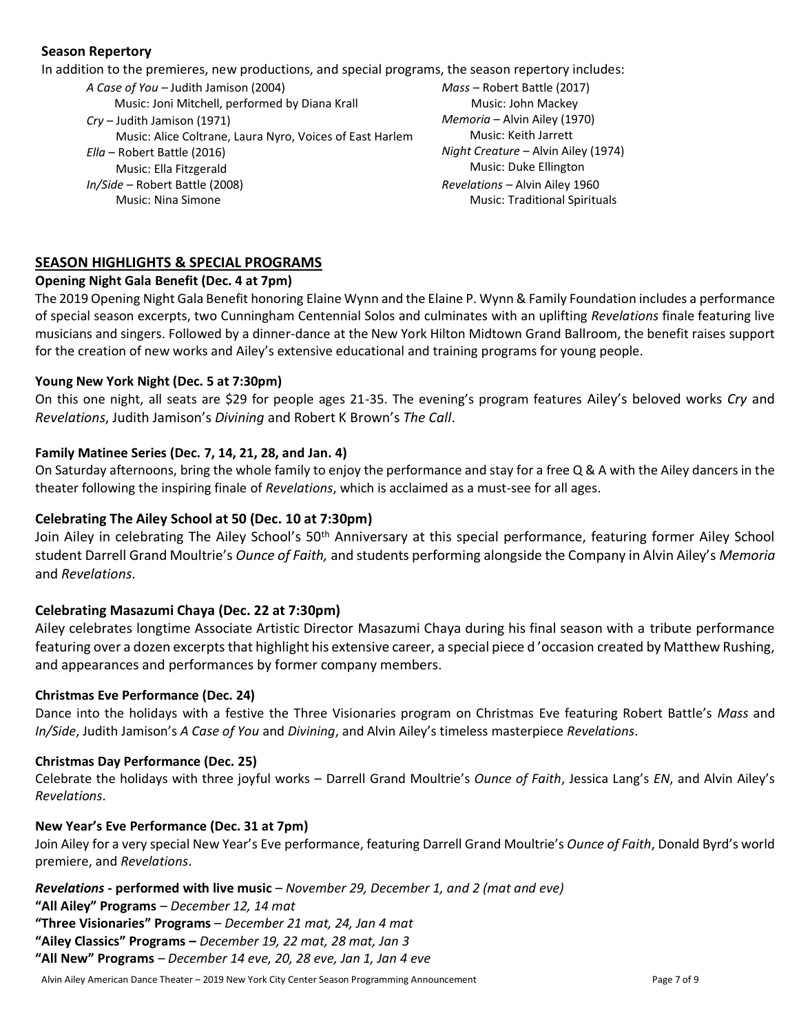### **Season Repertory**

In addition to the premieres, new productions, and special programs, the season repertory includes:

*A Case of You –* Judith Jamison (2004) Music: Joni Mitchell, performed by Diana Krall *Cry –* Judith Jamison (1971) Music: Alice Coltrane, Laura Nyro, Voices of East Harlem *Ella* – Robert Battle (2016) Music: Ella Fitzgerald *In/Side* – Robert Battle (2008) Music: Nina Simone

*Mass* – Robert Battle (2017) Music: John Mackey *Memoria* – Alvin Ailey (1970) Music: Keith Jarrett *Night Creature* – Alvin Ailey (1974) Music: Duke Ellington *Revelations –* Alvin Ailey 1960 Music: Traditional Spirituals

# **SEASON HIGHLIGHTS & SPECIAL PROGRAMS**

# **Opening Night Gala Benefit (Dec. 4 at 7pm)**

The 2019 Opening Night Gala Benefit honoring Elaine Wynn and the Elaine P. Wynn & Family Foundation includes a performance of special season excerpts, two Cunningham Centennial Solos and culminates with an uplifting *Revelations* finale featuring live musicians and singers. Followed by a dinner-dance at the New York Hilton Midtown Grand Ballroom, the benefit raises support for the creation of new works and Ailey's extensive educational and training programs for young people.

## **Young New York Night (Dec. 5 at 7:30pm)**

On this one night, all seats are \$29 for people ages 21-35. The evening's program features Ailey's beloved works *Cry* and *Revelations*, Judith Jamison's *Divining* and Robert K Brown's *The Call*.

# **Family Matinee Series (Dec. 7, 14, 21, 28, and Jan. 4)**

On Saturday afternoons, bring the whole family to enjoy the performance and stay for a free Q & A with the Ailey dancers in the theater following the inspiring finale of *Revelations*, which is acclaimed as a must-see for all ages.

# **Celebrating The Ailey School at 50 (Dec. 10 at 7:30pm)**

Join Ailey in celebrating The Ailey School's 50<sup>th</sup> Anniversary at this special performance, featuring former Ailey School student Darrell Grand Moultrie's *Ounce of Faith,* and students performing alongside the Company in Alvin Ailey's *Memoria* and *Revelations*.

# **Celebrating Masazumi Chaya (Dec. 22 at 7:30pm)**

Ailey celebrates longtime Associate Artistic Director Masazumi Chaya during his final season with a tribute performance featuring over a dozen excerpts that highlight his extensive career, a special piece d 'occasion created by Matthew Rushing, and appearances and performances by former company members.

### **Christmas Eve Performance (Dec. 24)**

Dance into the holidays with a festive the Three Visionaries program on Christmas Eve featuring Robert Battle's *Mass* and *In/Side*, Judith Jamison's *A Case of You* and *Divining*, and Alvin Ailey's timeless masterpiece *Revelations*.

### **Christmas Day Performance (Dec. 25)**

Celebrate the holidays with three joyful works – Darrell Grand Moultrie's *Ounce of Faith*, Jessica Lang's *EN*, and Alvin Ailey's *Revelations*.

### **New Year's Eve Performance (Dec. 31 at 7pm)**

Join Ailey for a very special New Year's Eve performance, featuring Darrell Grand Moultrie's *Ounce of Faith*, Donald Byrd's world premiere, and *Revelations*.

*Revelations -* **performed with live music** – *November 29, December 1, and 2 (mat and eve)*

**"All Ailey" Programs** – *December 12, 14 mat*

**"Three Visionaries" Programs** – *December 21 mat, 24, Jan 4 mat*

**"Ailey Classics" Programs –** *December 19, 22 mat, 28 mat, Jan 3*

**"All New" Programs** – *December 14 eve, 20, 28 eve, Jan 1, Jan 4 eve*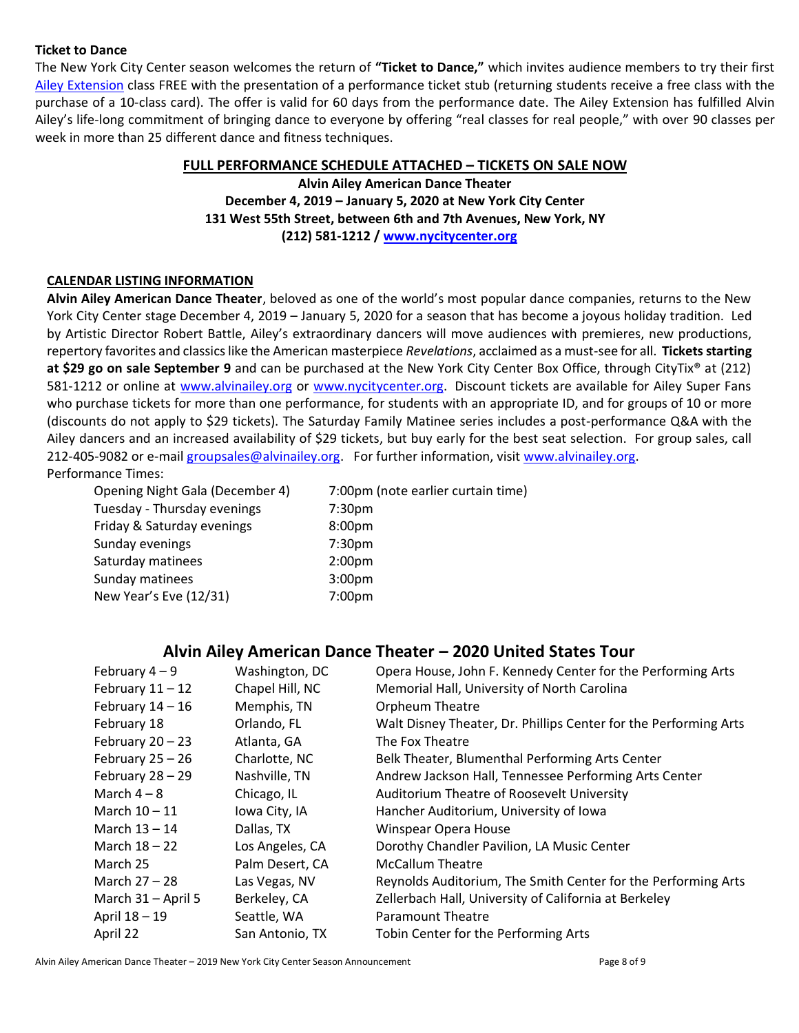### **Ticket to Dance**

The New York City Center season welcomes the return of **"Ticket to Dance,"** which invites audience members to try their first [Ailey Extension](http://pressroom.alvinailey.org/the-ailey-extension) class FREE with the presentation of a performance ticket stub (returning students receive a free class with the purchase of a 10-class card). The offer is valid for 60 days from the performance date. The Ailey Extension has fulfilled Alvin Ailey's life‐long commitment of bringing dance to everyone by offering "real classes for real people," with over 90 classes per week in more than 25 different dance and fitness techniques.

#### **FULL PERFORMANCE SCHEDULE ATTACHED – TICKETS ON SALE NOW**

**Alvin Ailey American Dance Theater December 4, 2019 – January 5, 2020 at New York City Center 131 West 55th Street, between 6th and 7th Avenues, New York, NY (212) 581-1212 / [www.nycitycenter.org](http://www.nycitycenter.org/)**

#### **CALENDAR LISTING INFORMATION**

**Alvin Ailey American Dance Theater**, beloved as one of the world's most popular dance companies, returns to the New York City Center stage December 4, 2019 – January 5, 2020 for a season that has become a joyous holiday tradition. Led by Artistic Director Robert Battle, Ailey's extraordinary dancers will move audiences with premieres, new productions, repertory favorites and classics like the American masterpiece *Revelations*, acclaimed as a must-see for all. **Tickets starting at \$29 go on sale September 9** and can be purchased at the New York City Center Box Office, through CityTix® at (212) 581-1212 or online at [www.alvinailey.org](http://www.alvinailey.org/) or [www.nycitycenter.org.](http://www.nycitycenter.org/) Discount tickets are available for Ailey Super Fans who purchase tickets for more than one performance, for students with an appropriate ID, and for groups of 10 or more (discounts do not apply to \$29 tickets). The Saturday Family Matinee series includes a post-performance Q&A with the Ailey dancers and an increased availability of \$29 tickets, but buy early for the best seat selection. For group sales, call 212-405-9082 or e-mail [groupsales@alvinailey.org.](mailto:groupsales@alvinailey.org) For further information, visit [www.alvinailey.org.](http://www.alvinailey.org/) Performance Times:

Opening Night Gala (December 4) 7:00pm (note earlier curtain time) Tuesday - Thursday evenings 7:30pm Friday & Saturday evenings 8:00pm Sunday evenings Times 7:30pm Saturday matinees 2:00pm Sunday matinees 3:00pm New Year's Eve (12/31) 7:00pm

# **Alvin Ailey American Dance Theater – 2020 United States Tour**

| February $4-9$     | Washington, DC  | Opera House, John F. Kennedy Center for the Performing Arts      |
|--------------------|-----------------|------------------------------------------------------------------|
| February $11 - 12$ | Chapel Hill, NC | Memorial Hall, University of North Carolina                      |
| February $14-16$   | Memphis, TN     | <b>Orpheum Theatre</b>                                           |
| February 18        | Orlando, FL     | Walt Disney Theater, Dr. Phillips Center for the Performing Arts |
| February $20 - 23$ | Atlanta, GA     | The Fox Theatre                                                  |
| February $25 - 26$ | Charlotte, NC   | Belk Theater, Blumenthal Performing Arts Center                  |
| February $28 - 29$ | Nashville, TN   | Andrew Jackson Hall, Tennessee Performing Arts Center            |
| March $4-8$        | Chicago, IL     | Auditorium Theatre of Roosevelt University                       |
| March 10 - 11      | Iowa City, IA   | Hancher Auditorium, University of Iowa                           |
| March 13 - 14      | Dallas, TX      | Winspear Opera House                                             |
| March $18 - 22$    | Los Angeles, CA | Dorothy Chandler Pavilion, LA Music Center                       |
| March 25           | Palm Desert, CA | <b>McCallum Theatre</b>                                          |
| March 27 – 28      | Las Vegas, NV   | Reynolds Auditorium, The Smith Center for the Performing Arts    |
| March 31 - April 5 | Berkeley, CA    | Zellerbach Hall, University of California at Berkeley            |
| April 18 - 19      | Seattle, WA     | Paramount Theatre                                                |
| April 22           | San Antonio, TX | Tobin Center for the Performing Arts                             |

Alvin Ailey American Dance Theater – 2019 New York City Center Season Announcement Page 8 of 9